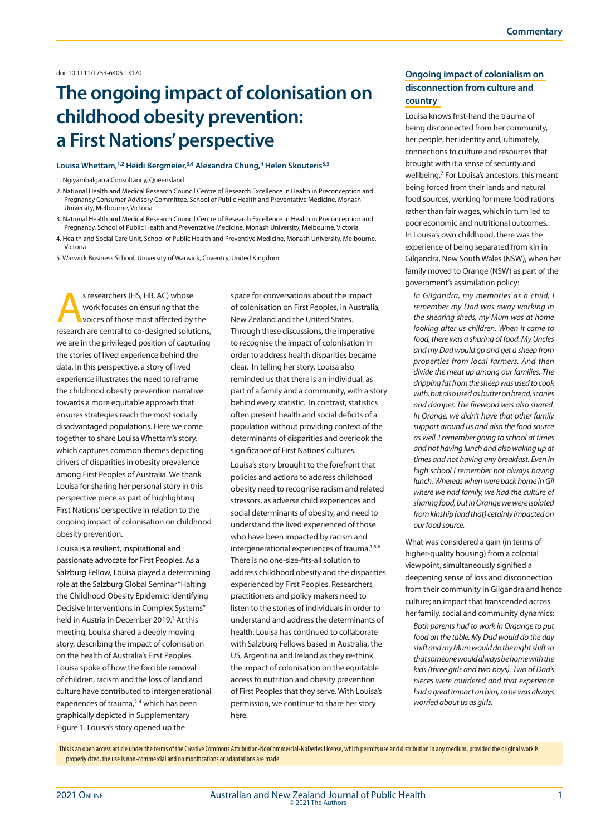doi: 10.1111/1753-6405.13170

# **The ongoing impact of colonisation on childhood obesity prevention: a First Nations' perspective**

#### **Louisa Whettam,1,2 Heidi Bergmeier,3,4 Alexandra Chung,4 Helen Skouteris3,5**

1. Ngiyambalgarra Consultancy, Queensland

- 2. National Health and Medical Research Council Centre of Research Excellence in Health in Preconception and Pregnancy Consumer Advisory Committee, School of Public Health and Preventative Medicine, Monash University, Melbourne, Victoria
- 3. National Health and Medical Research Council Centre of Research Excellence in Health in Preconception and Pregnancy, School of Public Health and Preventative Medicine, Monash University, Melbourne, Victoria
- 4. Health and Social Care Unit, School of Public Health and Preventive Medicine, Monash University, Melbourne, Victoria
- 5. Warwick Business School, University of Warwick, Coventry, United Kingdom

s researchers (HS, HB, AC) whose<br>
work focuses on ensuring that the<br>
voices of those most affected by the<br>
recented are central to so decisioned solutions work focuses on ensuring that the research are central to co-designed solutions, we are in the privileged position of capturing the stories of lived experience behind the data. In this perspective, a story of lived experience illustrates the need to reframe the childhood obesity prevention narrative towards a more equitable approach that ensures strategies reach the most socially disadvantaged populations. Here we come together to share Louisa Whettam's story, which captures common themes depicting drivers of disparities in obesity prevalence among First Peoples of Australia. We thank Louisa for sharing her personal story in this perspective piece as part of highlighting First Nations' perspective in relation to the ongoing impact of colonisation on childhood obesity prevention.

Louisa is a resilient, inspirational and passionate advocate for First Peoples. As a Salzburg Fellow, Louisa played a determining role at the Salzburg Global Seminar "Halting the Childhood Obesity Epidemic: Identifying Decisive Interventions in Complex Systems" held in Austria in December 2019.<sup>1</sup> At this meeting, Louisa shared a deeply moving story, describing the impact of colonisation on the health of Australia's First Peoples. Louisa spoke of how the forcible removal of children, racism and the loss of land and culture have contributed to intergenerational experiences of trauma,<sup>2-4</sup> which has been graphically depicted in Supplementary Figure 1. Louisa's story opened up the

space for conversations about the impact of colonisation on First Peoples, in Australia, New Zealand and the United States. Through these discussions, the imperative to recognise the impact of colonisation in order to address health disparities became clear. In telling her story, Louisa also reminded us that there is an individual, as part of a family and a community, with a story behind every statistic. In contrast, statistics often present health and social deficits of a population without providing context of the determinants of disparities and overlook the significance of First Nations' cultures.

Louisa's story brought to the forefront that policies and actions to address childhood obesity need to recognise racism and related stressors, as adverse child experiences and social determinants of obesity, and need to understand the lived experienced of those who have been impacted by racism and intergenerational experiences of trauma.<sup>1,5,6</sup> There is no one-size-fits-all solution to address childhood obesity and the disparities experienced by First Peoples. Researchers, practitioners and policy makers need to listen to the stories of individuals in order to understand and address the determinants of health. Louisa has continued to collaborate with Salzburg Fellows based in Australia, the US, Argentina and Ireland as they re-think the impact of colonisation on the equitable access to nutrition and obesity prevention of First Peoples that they serve. With Louisa's permission, we continue to share her story here.

## **Ongoing impact of colonialism on disconnection from culture and country**

Louisa knows first-hand the trauma of being disconnected from her community, her people, her identity and, ultimately, connections to culture and resources that brought with it a sense of security and wellbeing.7 For Louisa's ancestors, this meant being forced from their lands and natural food sources, working for mere food rations rather than fair wages, which in turn led to poor economic and nutritional outcomes. In Louisa's own childhood, there was the experience of being separated from kin in Gilgandra, New South Wales (NSW), when her family moved to Orange (NSW) as part of the government's assimilation policy:

*In Gilgandra, my memories as a child, I remember my Dad was away working in the shearing sheds, my Mum was at home looking after us children. When it came to food, there was a sharing of food. My Uncles and my Dad would go and get a sheep from properties from local farmers. And then divide the meat up among our families. The dripping fat from the sheep was used to cook with, but also used as butter on bread, scones and damper. The firewood was also shared. In Orange, we didn't have that other family support around us and also the food source as well. I remember going to school at times and not having lunch and also waking up at times and not having any breakfast. Even in high school I remember not always having lunch. Whereas when were back home in Gil where we had family, we had the culture of sharing food, but in Orange we were isolated from kinship (and that) cetainly impacted on our food source.*

What was considered a gain (in terms of higher-quality housing) from a colonial viewpoint, simultaneously signified a deepening sense of loss and disconnection from their community in Gilgandra and hence culture; an impact that transcended across her family, social and community dynamics:

*Both parents had to work in Organge to put food on the table. My Dad would do the day shift and my Mum would do the night shift so that someone would always be home with the kids (three girls and two boys). Two of Dad's nieces were murdered and that experience had a great impact on him, so he was always worried about us as girls.* 

This is an open access article under the terms of the Creative Commons Attribution-NonCommercial-NoDerivs License, which permits use and distribution in any medium, provided the original work is properly cited, the use is non-commercial and no modifications or adaptations are made.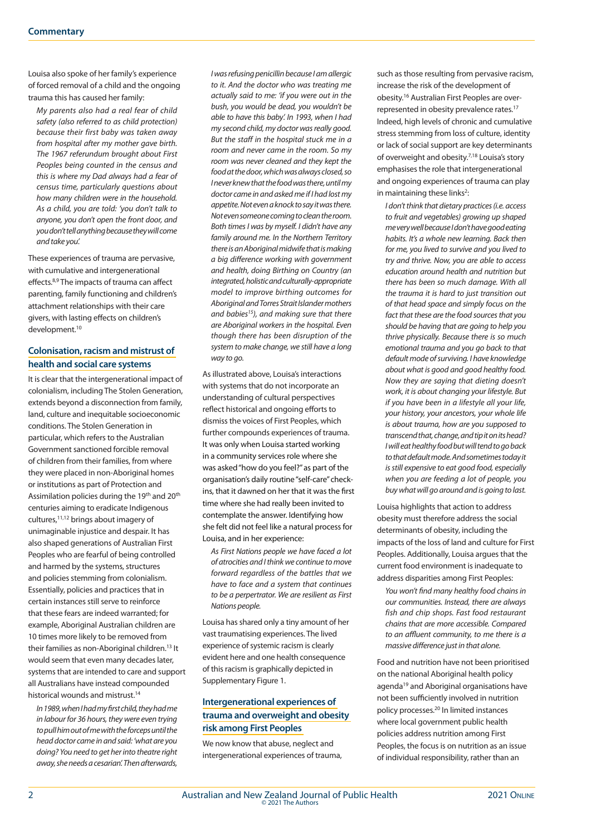Louisa also spoke of her family's experience of forced removal of a child and the ongoing trauma this has caused her family:

*My parents also had a real fear of child safety (also referred to as child protection) because their first baby was taken away from hospital after my mother gave birth. The 1967 referundum brought about First Peoples being counted in the census and this is where my Dad always had a fear of census time, particularly questions about how many children were in the household. As a child, you are told: 'you don't talk to anyone, you don't open the front door, and you don't tell anything because they will come and take you'.*

These experiences of trauma are pervasive, with cumulative and intergenerational effects.8,9 The impacts of trauma can affect parenting, family functioning and children's attachment relationships with their care givers, with lasting effects on children's development.<sup>10</sup>

### **Colonisation, racism and mistrust of health and social care systems**

It is clear that the intergenerational impact of colonialism, including The Stolen Generation, extends beyond a disconnection from family, land, culture and inequitable socioeconomic conditions. The Stolen Generation in particular, which refers to the Australian Government sanctioned forcible removal of children from their families, from where they were placed in non-Aboriginal homes or institutions as part of Protection and Assimilation policies during the 19<sup>th</sup> and 20<sup>th</sup> centuries aiming to eradicate Indigenous cultures,11,12 brings about imagery of unimaginable injustice and despair. It has also shaped generations of Australian First Peoples who are fearful of being controlled and harmed by the systems, structures and policies stemming from colonialism. Essentially, policies and practices that in certain instances still serve to reinforce that these fears are indeed warranted; for example, Aboriginal Australian children are 10 times more likely to be removed from their families as non-Aboriginal children.13 It would seem that even many decades later, systems that are intended to care and support all Australians have instead compounded historical wounds and mistrust.14

*In 1989, when I had my first child, they had me in labour for 36 hours, they were even trying to pull him out of me with the forceps until the head doctor came in and said: 'what are you doing? You need to get her into theatre right away, she needs a cesarian'. Then afterwards,* 

*I was refusing penicillin because I am allergic to it. And the doctor who was treating me actually said to me: 'if you were out in the bush, you would be dead, you wouldn't be able to have this baby'. In 1993, when I had my second child, my doctor was really good. But the staff in the hospital stuck me in a room and never came in the room. So my room was never cleaned and they kept the food at the door, which was always closed, so I never knew that the food was there, until my doctor came in and asked me if I had lost my appetite. Not even a knock to say it was there. Not even someone coming to clean the room. Both times I was by myself. I didn't have any family around me. In the Northern Territory there is an Aboriginal midwife that is making a big difference working with government and health, doing Birthing on Country (an integrated, holistic and culturally-appropriate model to improve birthing outcomes for Aboriginal and Torres Strait Islander mothers and babies15), and making sure that there are Aboriginal workers in the hospital. Even though there has been disruption of the system to make change, we still have a long way to go.*

As illustrated above, Louisa's interactions with systems that do not incorporate an understanding of cultural perspectives reflect historical and ongoing efforts to dismiss the voices of First Peoples, which further compounds experiences of trauma. It was only when Louisa started working in a community services role where she was asked "how do you feel?" as part of the organisation's daily routine "self-care" checkins, that it dawned on her that it was the first time where she had really been invited to contemplate the answer. Identifying how she felt did not feel like a natural process for Louisa, and in her experience:

*As First Nations people we have faced a lot of atrocities and I think we continue to move forward regardless of the battles that we have to face and a system that continues to be a perpertrator. We are resilient as First Nations people.*

Louisa has shared only a tiny amount of her vast traumatising experiences. The lived experience of systemic racism is clearly evident here and one health consequence of this racism is graphically depicted in Supplementary Figure 1.

## **Intergenerational experiences of trauma and overweight and obesity risk among First Peoples**

We now know that abuse, neglect and intergenerational experiences of trauma, such as those resulting from pervasive racism, increase the risk of the development of obesity.16 Australian First Peoples are overrepresented in obesity prevalence rates.17 Indeed, high levels of chronic and cumulative stress stemming from loss of culture, identity or lack of social support are key determinants of overweight and obesity.7,18 Louisa's story emphasises the role that intergenerational and ongoing experiences of trauma can play in maintaining these links<sup>2</sup>

*I don't think that dietary practices (i.e. access to fruit and vegetables) growing up shaped me very well because I don't have good eating habits. It's a whole new learning. Back then for me, you lived to survive and you lived to try and thrive. Now, you are able to access education around health and nutrition but there has been so much damage. With all the trauma it is hard to just transition out of that head space and simply focus on the fact that these are the food sources that you should be having that are going to help you thrive physically. Because there is so much emotional trauma and you go back to that default mode of surviving. I have knowledge about what is good and good healthy food. Now they are saying that dieting doesn't work, it is about changing your lifestyle. But if you have been in a lifestyle all your life, your history, your ancestors, your whole life is about trauma, how are you supposed to transcend that, change, and tip it on its head? I will eat healthy food but will tend to go back to that default mode. And sometimes today it is still expensive to eat good food, especially when you are feeding a lot of people, you buy what will go around and is going to last.*

Louisa highlights that action to address obesity must therefore address the social determinants of obesity, including the impacts of the loss of land and culture for First Peoples. Additionally, Louisa argues that the current food environment is inadequate to address disparities among First Peoples:

*You won't find many healthy food chains in our communities. Instead, there are always fish and chip shops. Fast food restaurant chains that are more accessible. Compared to an affluent community, to me there is a massive difference just in that alone.* 

Food and nutrition have not been prioritised on the national Aboriginal health policy agenda<sup>19</sup> and Aboriginal organisations have not been sufficiently involved in nutrition policy processes.20 In limited instances where local government public health policies address nutrition among First Peoples, the focus is on nutrition as an issue of individual responsibility, rather than an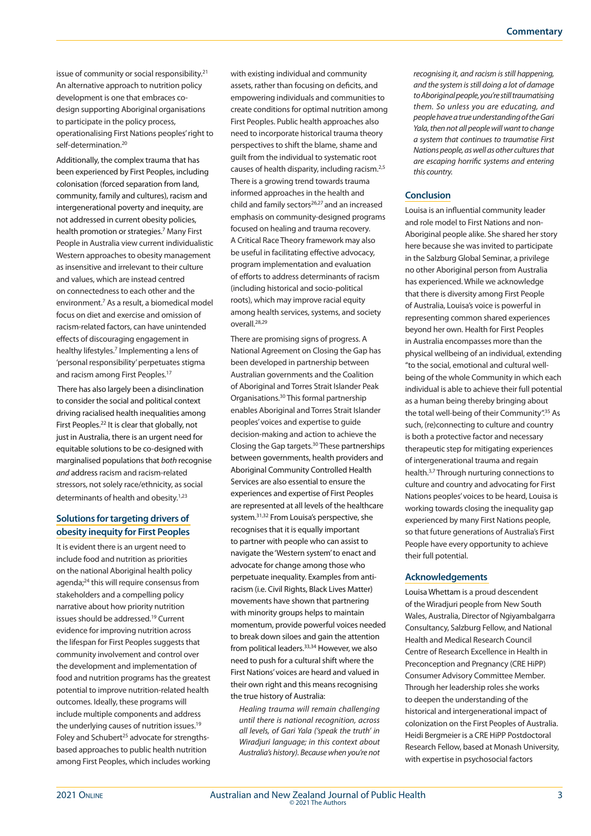issue of community or social responsibility.21 An alternative approach to nutrition policy development is one that embraces codesign supporting Aboriginal organisations to participate in the policy process, operationalising First Nations peoples' right to self-determination.<sup>20</sup>

Additionally, the complex trauma that has been experienced by First Peoples, including colonisation (forced separation from land, community, family and cultures), racism and intergenerational poverty and inequity, are not addressed in current obesity policies, health promotion or strategies.<sup>7</sup> Many First People in Australia view current individualistic Western approaches to obesity management as insensitive and irrelevant to their culture and values, which are instead centred on connectedness to each other and the environment.<sup>7</sup> As a result, a biomedical model focus on diet and exercise and omission of racism-related factors, can have unintended effects of discouraging engagement in healthy lifestyles.<sup>7</sup> Implementing a lens of 'personal responsibility' perpetuates stigma and racism among First Peoples.<sup>17</sup>

 There has also largely been a disinclination to consider the social and political context driving racialised health inequalities among First Peoples.<sup>22</sup> It is clear that globally, not just in Australia, there is an urgent need for equitable solutions to be co-designed with marginalised populations that *both* recognise *and* address racism and racism-related stressors, not solely race/ethnicity, as social determinants of health and obesity.<sup>1,23</sup>

## **Solutions for targeting drivers of obesity inequity for First Peoples**

It is evident there is an urgent need to include food and nutrition as priorities on the national Aboriginal health policy agenda;24 this will require consensus from stakeholders and a compelling policy narrative about how priority nutrition issues should be addressed.19 Current evidence for improving nutrition across the lifespan for First Peoples suggests that community involvement and control over the development and implementation of food and nutrition programs has the greatest potential to improve nutrition-related health outcomes. Ideally, these programs will include multiple components and address the underlying causes of nutrition issues.<sup>19</sup> Foley and Schubert<sup>25</sup> advocate for strengthsbased approaches to public health nutrition among First Peoples, which includes working

with existing individual and community assets, rather than focusing on deficits, and empowering individuals and communities to create conditions for optimal nutrition among First Peoples. Public health approaches also need to incorporate historical trauma theory perspectives to shift the blame, shame and guilt from the individual to systematic root causes of health disparity, including racism.2,5 There is a growing trend towards trauma informed approaches in the health and child and family sectors<sup>26,27</sup> and an increased emphasis on community-designed programs focused on healing and trauma recovery. A Critical Race Theory framework may also be useful in facilitating effective advocacy, program implementation and evaluation of efforts to address determinants of racism (including historical and socio-political roots), which may improve racial equity among health services, systems, and society overall.28,29

There are promising signs of progress. A National Agreement on Closing the Gap has been developed in partnership between Australian governments and the Coalition of Aboriginal and Torres Strait Islander Peak Organisations.30 This formal partnership enables Aboriginal and Torres Strait Islander peoples' voices and expertise to guide decision-making and action to achieve the Closing the Gap targets.30 These partnerships between governments, health providers and Aboriginal Community Controlled Health Services are also essential to ensure the experiences and expertise of First Peoples are represented at all levels of the healthcare system.31,32 From Louisa's perspective, she recognises that it is equally important to partner with people who can assist to navigate the 'Western system' to enact and advocate for change among those who perpetuate inequality. Examples from antiracism (i.e. Civil Rights, Black Lives Matter) movements have shown that partnering with minority groups helps to maintain momentum, provide powerful voices needed to break down siloes and gain the attention from political leaders.33,34 However, we also need to push for a cultural shift where the First Nations' voices are heard and valued in their own right and this means recognising the true history of Australia:

*Healing trauma will remain challenging until there is national recognition, across all levels, of Gari Yala ('speak the truth' in Wiradjuri language; in this context about Australia's history). Because when you're not*  *recognising it, and racism is still happening, and the system is still doing a lot of damage to Aboriginal people, you're still traumatising them. So unless you are educating, and people have a true understanding of the Gari Yala, then not all people will want to change a system that continues to traumatise First Nations people, as well as other cultures that are escaping horrific systems and entering this country.* 

#### **Conclusion**

Louisa is an influential community leader and role model to First Nations and non-Aboriginal people alike. She shared her story here because she was invited to participate in the Salzburg Global Seminar, a privilege no other Aboriginal person from Australia has experienced. While we acknowledge that there is diversity among First People of Australia, Louisa's voice is powerful in representing common shared experiences beyond her own. Health for First Peoples in Australia encompasses more than the physical wellbeing of an individual, extending "to the social, emotional and cultural wellbeing of the whole Community in which each individual is able to achieve their full potential as a human being thereby bringing about the total well-being of their Community".<sup>35</sup> As such, (re)connecting to culture and country is both a protective factor and necessary therapeutic step for mitigating experiences of intergenerational trauma and regain health.3,7 Through nurturing connections to culture and country and advocating for First Nations peoples' voices to be heard, Louisa is working towards closing the inequality gap experienced by many First Nations people, so that future generations of Australia's First People have every opportunity to achieve their full potential.

#### **Acknowledgements**

Louisa Whettam is a proud descendent of the Wiradjuri people from New South Wales, Australia, Director of Ngiyambalgarra Consultancy, Salzburg Fellow, and National Health and Medical Research Council Centre of Research Excellence in Health in Preconception and Pregnancy (CRE HiPP) Consumer Advisory Committee Member. Through her leadership roles she works to deepen the understanding of the historical and intergenerational impact of colonization on the First Peoples of Australia. Heidi Bergmeier is a CRE HiPP Postdoctoral Research Fellow, based at Monash University, with expertise in psychosocial factors